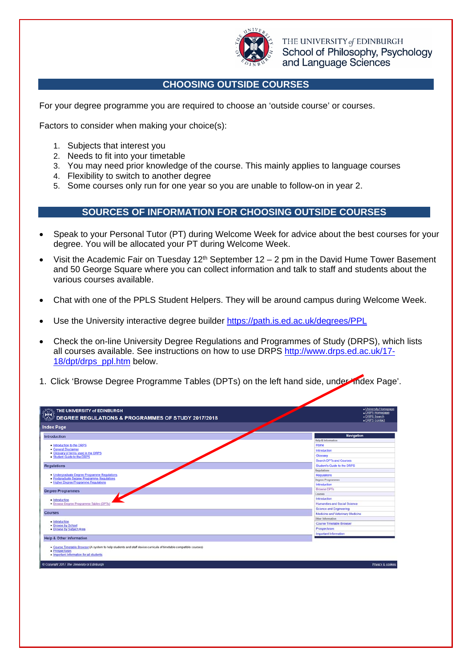

THE UNIVERSITY of EDINBURGH School of Philosophy, Psychology and Language Sciences

## **CHOOSING OUTSIDE COURSES**

For your degree programme you are required to choose an 'outside course' or courses.

Factors to consider when making your choice(s):

- 1. Subjects that interest you
- 2. Needs to fit into your timetable
- 3. You may need prior knowledge of the course. This mainly applies to language courses
- 4. Flexibility to switch to another degree
- 5. Some courses only run for one year so you are unable to follow-on in year 2.

## **SOURCES OF INFORMATION FOR CHOOSING OUTSIDE COURSES**

- Speak to your Personal Tutor (PT) during Welcome Week for advice about the best courses for your degree. You will be allocated your PT during Welcome Week.
- Visit the Academic Fair on Tuesday  $12<sup>th</sup>$  September 12 2 pm in the David Hume Tower Basement and 50 George Square where you can collect information and talk to staff and students about the various courses available.
- Chat with one of the PPLS Student Helpers. They will be around campus during Welcome Week.
- Use the University interactive degree builder https://path.is.ed.ac.uk/degrees/PPL
- Check the on-line University Degree Regulations and Programmes of Study (DRPS), which lists all courses available. See instructions on how to use DRPS http://www.drps.ed.ac.uk/17- 18/dpt/drps\_ppl.htm below.
- 1. Click 'Browse Degree Programme Tables (DPTs) on the left hand side, under 'Index Page'.

| $\frac{1}{2}$<br>THE UNIVERSITY of EDINBURGH<br>$\rlap /$ DEGREE REGULATIONS & PROGRAMMES OF STUDY 2017/2018                                                                    | - University Homepage<br>» DRPS Homepage<br>» DRPS Search<br>DRPS Contact |
|---------------------------------------------------------------------------------------------------------------------------------------------------------------------------------|---------------------------------------------------------------------------|
| <b>Index Page</b>                                                                                                                                                               |                                                                           |
| <b>Introduction</b>                                                                                                                                                             | Navigation                                                                |
|                                                                                                                                                                                 | <b>Help &amp; Information</b>                                             |
| . Introduction to the DRPS                                                                                                                                                      | Home                                                                      |
| • General Disclaimer<br>. Glossary of terms used in the DRPS                                                                                                                    | Introduction                                                              |
| · Student Guide to the DRPS                                                                                                                                                     | Glossary                                                                  |
|                                                                                                                                                                                 | <b>Search DPTs and Courses</b>                                            |
| <b>Regulations</b>                                                                                                                                                              | <b>Student's Guide to the DRPS</b>                                        |
|                                                                                                                                                                                 | <b>Regulations</b>                                                        |
| · Undergraduate Degree Programme Regulations<br>· Postgraduate Degree Programme Regulations                                                                                     | Regulations                                                               |
| · Higher Degree Programme Regulations                                                                                                                                           | <b>Degree Programmes</b>                                                  |
|                                                                                                                                                                                 | Introduction                                                              |
| <b>Degree Programmes</b>                                                                                                                                                        | <b>Browse DPTs</b>                                                        |
|                                                                                                                                                                                 | Courses                                                                   |
| · Introduction                                                                                                                                                                  | Introduction                                                              |
| · Browse Degree Programme Tables (DPTs)                                                                                                                                         | <b>Humanities and Social Science</b>                                      |
| <b>Courses</b>                                                                                                                                                                  | <b>Science and Engineering</b>                                            |
|                                                                                                                                                                                 | Medicine and Veterinary Medicine                                          |
| · Introduction                                                                                                                                                                  | Other Information                                                         |
| · Browse by School                                                                                                                                                              | Course Timetable Browser                                                  |
| . Browse by Subject Area                                                                                                                                                        | Prospectuses                                                              |
| <b>Help &amp; Other Information</b>                                                                                                                                             | <b>Important Information</b>                                              |
| · Course Timetable Browser (A system to help students and staff devise curricula of timetable compatible courses)<br>· Prospectuses<br>· Important Information for all students |                                                                           |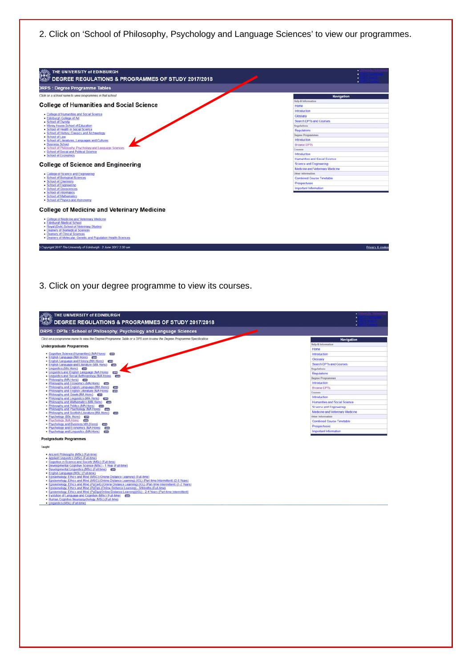2. Click on 'School of Philosophy, Psychology and Language Sciences' to view our programmes.

| <b>DRPS: Degree Programme Tables</b>                                                                                                                                                                                                                               |                                      |
|--------------------------------------------------------------------------------------------------------------------------------------------------------------------------------------------------------------------------------------------------------------------|--------------------------------------|
| Click on a school name to view programmes in that school                                                                                                                                                                                                           | Navigation                           |
|                                                                                                                                                                                                                                                                    | Help & Information                   |
| <b>College of Humanities and Social Science</b>                                                                                                                                                                                                                    | Home                                 |
| . College of Humanities and Social Science                                                                                                                                                                                                                         | Introduction                         |
| · Edinburgh College of Art                                                                                                                                                                                                                                         | Glossary                             |
| . School of Divinity                                                                                                                                                                                                                                               | Search DPTs and Courses              |
| . Moray House School of Education<br>. School of Health in Social Science                                                                                                                                                                                          | Regulations                          |
| . School of History, Classics and Archaeology                                                                                                                                                                                                                      | Regulations                          |
| · School of Law                                                                                                                                                                                                                                                    | <b>Degree Programmes</b>             |
| · School of Literatures, Languages and Cultures                                                                                                                                                                                                                    | Introduction                         |
| · Business School<br>. School of Philosophy, Psychology and Language Sciences                                                                                                                                                                                      | <b>Browse DPTs</b>                   |
| · School of Social and Political Science                                                                                                                                                                                                                           | Courses                              |
| · School of Economics                                                                                                                                                                                                                                              | <b>Introduction</b>                  |
|                                                                                                                                                                                                                                                                    | <b>Humanities and Social Science</b> |
| <b>College of Science and Engineering</b>                                                                                                                                                                                                                          | <b>Science and Engineering</b>       |
|                                                                                                                                                                                                                                                                    | Medicine and Veterinary Medicine     |
| . College of Science and Engineering<br>· School of Biological Sciences                                                                                                                                                                                            | Other Information                    |
| · School of Chemistry                                                                                                                                                                                                                                              | Combined Course Timetable            |
| · School of Engineering                                                                                                                                                                                                                                            | Prospectuses                         |
| · School of Geosciences                                                                                                                                                                                                                                            | Important Information                |
| · School of Informatics<br>· School of Mathematics<br>. School of Physics and Astronomy                                                                                                                                                                            |                                      |
| <b>College of Medicine and Veterinary Medicine</b>                                                                                                                                                                                                                 |                                      |
| . College of Medicine and Veterinary Medicine<br>· Edinburgh Medical School<br>. Royal (Dick) School of Veterinary Studies<br>· Deanery of Biomedical Sciences<br>· Deanery of Clinical Sciences<br>· Deanery of Molecular, Genetic and Population Health Sciences |                                      |

## 3. Click on your degree programme to view its courses.

| THE UNIVERSITY of EDINBURGH<br>DEGREE REGULATIONS & PROGRAMMES OF STUDY 2017/2018                                                                                                           | ٠                                |  |  |  |
|---------------------------------------------------------------------------------------------------------------------------------------------------------------------------------------------|----------------------------------|--|--|--|
| DRPS : DPTs : School of Philosophy, Psychology and Language Sciences                                                                                                                        |                                  |  |  |  |
| Click on a programme name to view the Degree Programme Table or a DPS icon to view the Degree Programme Specification                                                                       | Navigation                       |  |  |  |
| <b>Undergraduate Programmes</b>                                                                                                                                                             | Help & Information               |  |  |  |
|                                                                                                                                                                                             | Home                             |  |  |  |
| . Cognitive Science (Humanities) (MA Hons) (193                                                                                                                                             | <b>Introduction</b>              |  |  |  |
| . English Language (MA Hons) con<br>. English Language and History (MA Hons) can                                                                                                            | Glossary                         |  |  |  |
| . English Language and Literature (MA Hons)<br>curs.                                                                                                                                        | Search DPTs and Courses          |  |  |  |
| · Linguistics (MA Hons) (77)                                                                                                                                                                | Regulations                      |  |  |  |
| . Linguistics and English Language (MA Hons)<br>cors.<br>. Linguistics and Social Anthropology (MA Hons) (Fig.                                                                              | Regulations                      |  |  |  |
| · Philosophy (MA Hons) (112)                                                                                                                                                                | <b>Degree Programmes</b>         |  |  |  |
| . Philosophy and Economics (MA Hons) ED                                                                                                                                                     | <b>Introduction</b>              |  |  |  |
| . Philosophy and English Language (MA Hons)<br><b>EIPS</b>                                                                                                                                  | <b>Browse DPTs</b>               |  |  |  |
| . Philosophy and English Literature (MA Hons) (33<br>. Philosophy and Greek (MA Hons) (22)                                                                                                  | Courses                          |  |  |  |
| . Philosophy and Linguistics (MA Hons) (22)                                                                                                                                                 | Introduction                     |  |  |  |
| . Philosophy and Mathematics (MA Hons) (77)                                                                                                                                                 | Humanities and Social Science    |  |  |  |
| . Philosophy and Politics (MA Hons) can<br>. Philosophy and Psychology (MA Hons) (EB)                                                                                                       | Science and Engineering          |  |  |  |
| . Philosophy and Scottish Literature (MA Hons) (12)                                                                                                                                         | Medicine and Veterinary Medicine |  |  |  |
| · Psychology (BSc Hons) (200                                                                                                                                                                | Other Information                |  |  |  |
| · Psychology (MA Hons) (FEB                                                                                                                                                                 | Combined Course Timetable        |  |  |  |
| . Psychology and Business MA (Hons) (ex)<br>• Psychology and Economics (MA Hons) (32)                                                                                                       | <b>Prospectuses</b>              |  |  |  |
| · Psychology and Linguistics (MA Hons)<br><b>COATS</b>                                                                                                                                      | Important Information            |  |  |  |
| <b>Postgraduate Programmes</b>                                                                                                                                                              |                                  |  |  |  |
| Taught                                                                                                                                                                                      |                                  |  |  |  |
| · Ancient Philosophy (MSc) (Full-time)                                                                                                                                                      |                                  |  |  |  |
| · Applied Linguistics (MSc) (Full-time)<br>. Cognition in Science and Society (MSc) (Full-time)                                                                                             |                                  |  |  |  |
| · Developmental Cognitive Science (MSc) - 1 Year (Full-time)                                                                                                                                |                                  |  |  |  |
| · Developmental Linguistics (MSc) (Full-time) (72)                                                                                                                                          |                                  |  |  |  |
| · English Language (MSc) (Full-time)                                                                                                                                                        |                                  |  |  |  |
| . Epistemology, Ethics and Mind (MSC) (Online Distance Learning) (Full-time)<br>. Epistemology, Ethics and Mind (MSC) (Online Distance Learning) (ICL) (Part-time Intermittent) (2-6 Years) |                                  |  |  |  |
| . Epistemology. Ethics and Mind (PgCert) (Online Distance Learning) (ICL) (Part-time Intermittent) (1-2 Years)                                                                              |                                  |  |  |  |
| . Epistemology, Ethics and Mind (PgDip) (Online Distance Learning) - 9 Months (Full-time)                                                                                                   |                                  |  |  |  |
| . Epistemology, Ethics and Mind (PgDip)(Online Distance Learning)(ICL) - 2-4 Years (Part-time Intermittent)<br>. Evolution of Language and Cognition (MSc) (Full-time) (                    |                                  |  |  |  |
| . Human Cognitive Neuropsychology (MSc) (Full-time)                                                                                                                                         |                                  |  |  |  |
| · Linguistics (MSc) (Full-time)                                                                                                                                                             |                                  |  |  |  |